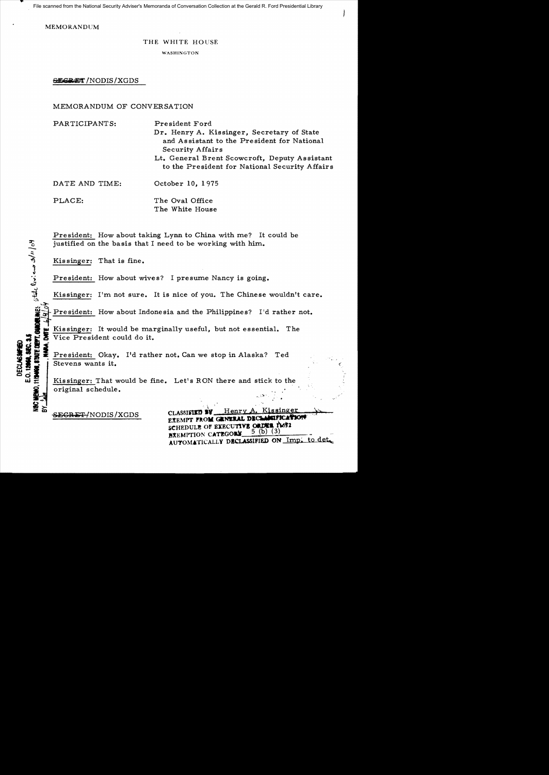File scanned from the National Security Adviser's Memoranda of Conversation Collection at the Gerald R. Ford Presidential Library

**MEMORANDUM** 

## THE WHITE HOUSE

WASHINGTON

**SECRET** / NODIS / XGDS

## MEMORANDUM OF CONVERSATION

| PARTICIPANTS:  | President Ford<br>Dr. Henry A. Kissinger, Secretary of State<br>and Assistant to the President for National<br>Security Affairs<br>Lt. General Brent Scowcroft, Deputy Assistant |
|----------------|----------------------------------------------------------------------------------------------------------------------------------------------------------------------------------|
|                | to the President for National Security Affairs                                                                                                                                   |
| DATE AND TIME: | October 10, 1975                                                                                                                                                                 |
| PLACE:         | The Oval Office<br>The White House                                                                                                                                               |

President: How about taking Lynn to China with me? It could be justified on the basis that I need to be working with him.

Kissinger: That is fine.

othe livit and s/11/04

E.O. 12068. SEC. 3. **DECLASSIFIE** 

President: How about wives? I presume Nancy is going.

Kissinger: I'm not sure. It is nice of you. The Chinese wouldn't care.

President: How about Indonesia and the Philippines? I'd rather not.

Kissinger: It would be marginally useful, but not essential. The Vice President could do it.

President: Okay. I'd rather not. Can we stop in Alaska? Ted Stevens wants it.

Kissinger: That would be fine. Let's RON there and stick to the original schedule.

SEGRET/NODIS/XGDS

Henry Kissinger CLASSIFIED BY EXEMPT FROM GENERAL DECLASSIFICATION SCHEDULE OF EXECUTIVE ORDER 18632 5 (b)  $(3)$ BXEMPTION CATEGORY AUTOMATICALLY DECLASSIFIED ON Imp. to det.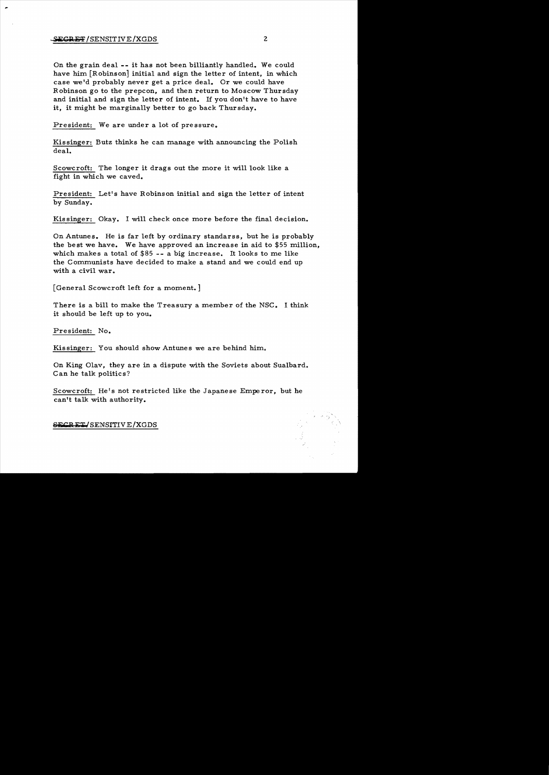On the grain deal **--** it has not been billiantly handled. We could have him [Robinson] initial and sign the letter of intent, in which case we'd probably never get a price deal. Or we could have Robinson go to the prepcon, and then return to Moscow Thursday and initial and sign the letter of intent. If you don't have to have it, it might be marginally better to go back Thursday.

President: We are under a lot of pressure..

Kissinger: Butz thinks he can manage with announcing the Polish deal.

Scowcroft: The longer it drags out the more it will look like a fight in which we caved.

President: Let's have Robinson initial and sign the letter of intent by Sunday.

Kis singer: Okay. I will check once more before the final decision.

On Antunes. He is far left by ordinary standarss, but he is probably the best we have. We have approved an increase in aid to \$55 million, which makes a total of \$85 -- a big increase. It looks to me like the Communists have decided to make a stand and we could end up with a civil war..

[General Scowcroft left for a moment. ]

There is a bill to make the Treasury a member of the NSC. I think it should be left up to you.

President: No.

Kissinger: You should show Antunes we are behind him..

On King Olav, they are in a dispute with the Soviets about Sualbard. Can he talk politics?

Scowcroft: He's not restricted like the Japanese Emperor, but he can't talk with authority.

**SEep** E~!SENSITIVE/XGDS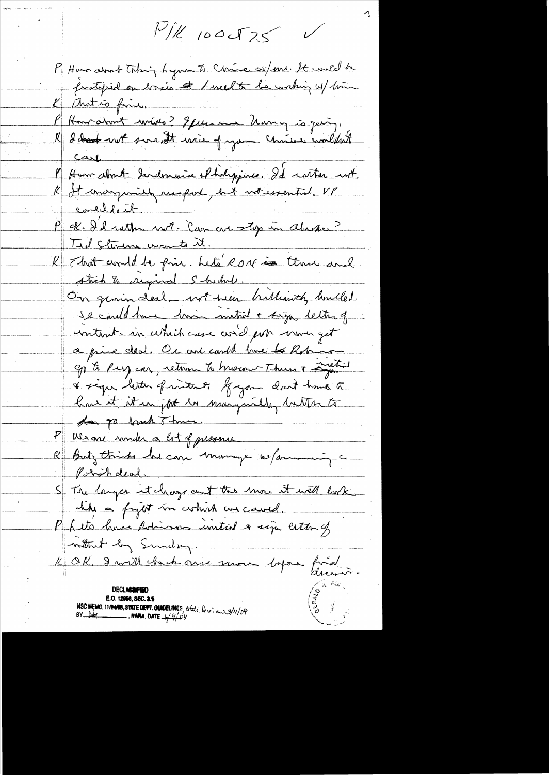$P/R$  100 T 75

P. Hans about Taking hymn to Chrise as/me. It would be K That is fine. P Hannahmt wines? If you are Marry is going.<br>R I bout sur It wie jagon. Chris combilent carl l'Hom about doucloussie el holyponte. Il catter not.<br>R It emergenisse reseport, but not essential. Vl concellant. P et d'et rather not lan au stop in Alaska Tid stemens wants it. R That and be fine beto ROM in those and stick & escapinal Shedule. On grown deal \_ wit tien bullionth hould. se could have the metrid + sign letter of contruit in which case and por mon get a price deal. Or and could live to Robinson Ep to Purg car, return to huseon Thurs + Lustin & sign letter frontend. Gyon don't have to how it it in jour in marginally button to dea po back Thme. P Weak moder a lot of presence R Butz thinks be can monage w/amming c Point deal. S Tre larges it change and the more it will look Inthat by Sunday. K OK. I will clack oure more depou final E.O. 12058, SEC. 3.5

NSC MEMO, 11/24108, STATE DETT. CONDELINES, State be v. en 3/11/04<br>BY Publ